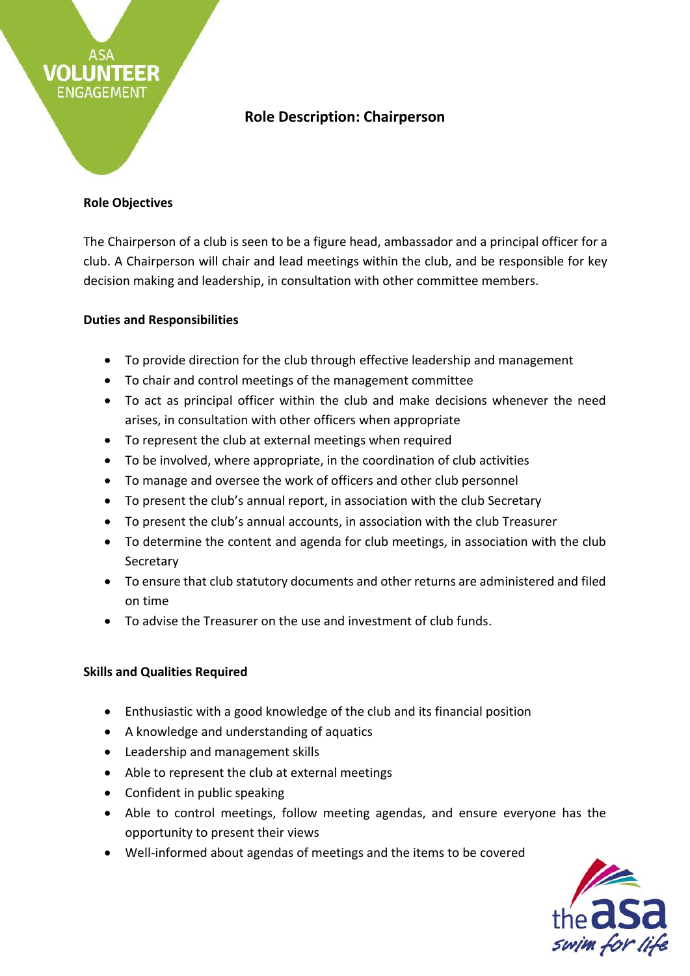

# **Role Description: Chairperson**

### **Role Objectives**

The Chairperson of a club is seen to be a figure head, ambassador and a principal officer for a club. A Chairperson will chair and lead meetings within the club, and be responsible for key decision making and leadership, in consultation with other committee members.

#### **Duties and Responsibilities**

- To provide direction for the club through effective leadership and management
- To chair and control meetings of the management committee
- To act as principal officer within the club and make decisions whenever the need arises, in consultation with other officers when appropriate
- To represent the club at external meetings when required
- To be involved, where appropriate, in the coordination of club activities
- To manage and oversee the work of officers and other club personnel
- To present the club's annual report, in association with the club Secretary
- To present the club's annual accounts, in association with the club Treasurer
- To determine the content and agenda for club meetings, in association with the club **Secretary**
- To ensure that club statutory documents and other returns are administered and filed on time
- To advise the Treasurer on the use and investment of club funds.

## **Skills and Qualities Required**

- Enthusiastic with a good knowledge of the club and its financial position
- A knowledge and understanding of aquatics
- Leadership and management skills
- Able to represent the club at external meetings
- Confident in public speaking
- Able to control meetings, follow meeting agendas, and ensure everyone has the opportunity to present their views
- Well-informed about agendas of meetings and the items to be covered